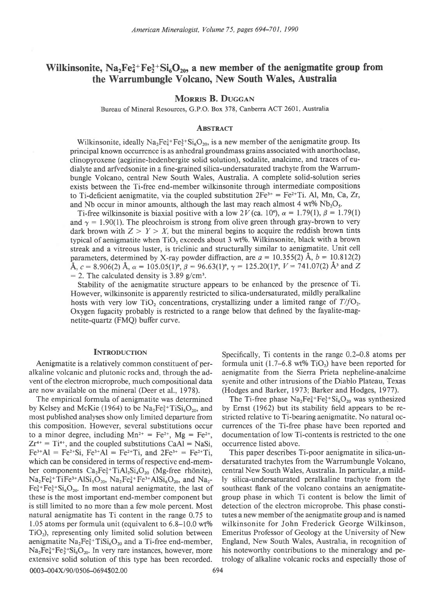# Wilkinsonite,  $Na_2Fe_4^{2+}Fe_2^{3+}Si_6O_{20}$ , a new member of the aenigmatite group from the Warrumbungle Yolcano, New South Wales, Australia

# MORRIS B. DUGGAN

Bureau of Mineral Resources. G.P.O. Box 378, Canberra ACT 2601, Australia

## **ABSTRACT**

Wilkinsonite, ideally  $Na_2Fe_4^{2+}Fe_2^{3+}Si_6O_{20}$ , is a new member of the aenigmatite group. Its principal known occurrence is as anhedral groundmass grains associated with anorthoclase, clinopyroxene (aegirine-hedenbergite solid solution), sodalite, analcime, and traces ofeudialyte and arfvedsonite in a fine-grained silica-undersaturated trachyte from the Warrumbungle Volcano, central New South Wales, Australia. A complete solid-solution series exists between the Ti-free end-member wilkinsonite through intermediate compositions to Ti-deficient aenigmatite, via the coupled substitution  $2Fe^{3+} = Fe^{2+}Ti$ . Al, Mn, Ca, Zr, and Nb occur in minor amounts, although the last may reach almost 4 wt%  $Nb<sub>2</sub>O<sub>5</sub>$ .

Ti-free wilkinsonite is biaxial positive with a low 2V (ca. 10°),  $\alpha = 1.79(1)$ ,  $\beta = 1.79(1)$ and  $\gamma = 1.90(1)$ . The pleochroism is strong from olive green through gray-brown to very dark brown with  $Z > Y > X$ , but the mineral begins to acquire the reddish brown tints typical of aenigmatite when  $TiO<sub>2</sub>$  exceeds about 3 wt%. Wilkinsonite, black with a brown streak and a vitreous luster, is triclinic and structurally similar to aenigmatite. Unit cell parameters, determined by X-ray powder diffraction, are  $a = 10.355(2)$  Å,  $b = 10.812(2)$  $\AA$ ,  $c = 8.906(2) \AA$ ,  $\alpha = 105.05(1)$ °,  $\beta = 96.63(1)$ °,  $\gamma = 125.20(1)$ °,  $V = 741.07(2) \AA$ <sup>3</sup> and Z  $= 2$ . The calculated density is 3.89 g/cm<sup>3</sup>.

Stability of the aenigmatite structure appears to be enhanced by the presence of Ti. However, wilkinsonite is apparently restricted to silica-undersaturated, mildly peralkaline hosts with very low TiO<sub>2</sub> concentrations, crystallizing under a limited range of  $T/fO<sub>2</sub>$ . Oxygen fugacity probabty is restricted to a range below that defined by the fayalite-magnetite-quartz (FMQ) buffer curve.

alkaline volcanic and plutonic rocks and, through the ad- aenigmatite from the Sierra Prieta nepheline-analcime vent of the electron microprobe, much compositional data syenite and other intrusions of the Diablo Plateau, Texas are now available on the mineral (Deer et al., 1978). (Hodges and Barker, 1973; Barker and Hodges, 1977).

 $Zr^{4+} = Ti^{4+}$ , and the coupled substitutions CaAl = NaSi, occurrence listed above.  $Fe^{3+}Al = Fe^{2+}Si$ ,  $Fe^{3+}Al = Fe^{2+}Ti$ , and  $2Fe^{3+} = Fe^{2+}Ti$ , This paper describes Ti-poor aenigmatite in silica-unwhich can be considered in terms of respective end-mem- dersaturated trachytes from the Warrumbungle Volcano, ber components  $Ca_2Fe_3^2+TiAl_2Si_4O_{20}$  (Mg-free rhönite), central New South Wales, Australia. In particular, a mild- $Na<sub>2</sub>Fe<sub>4</sub><sup>2+</sup>TiFe<sub>3</sub><sup>3+</sup>AISi<sub>5</sub>O<sub>20</sub>, Na<sub>2</sub>Fe<sub>4</sub><sup>2+</sup>Fe<sub>3</sub><sup>3+</sup>AISi<sub>6</sub>O<sub>20</sub>, and Na<sub>2</sub><sup>-</sup>ly silica-underaturated peralkaline trackyte from the$  $Fe^{2+}_4Fe^{3+}_2Si_6O_2$ . In most natural aenigmatite, the last of southeast flank of the volcano contains an aenigmatitethese is the most important end-member component but group phase in which Ti content is below the limit of is still limited to no more than a few mole percent. Most detection of the electron microprobe. This phase constinatural aenigmatite has Ti content in the range 0.75 to tutes a new member of the aenigmatite group and is named 1.05 atoms per formula unit (equivalent to 6.8-10.0 wt% wilkinsonite for John Frederick George Wilkinson, TiO<sub>2</sub>), representing only limited solid solution between Emeritus Professor of Geology at the University of New aenigmatite  $Na_2Fe_3^{2+}TiSi_6O_{20}$  and a Ti-free end-member, England, New South Wales, Australia, in recognition of  $Na_2Fe_4^+Fe_2^+Si_6O_2$ . In very rare instances, however, more his noteworthy contributions to the mineralogy and peextensive solid solution of this type has been recorded. trology of alkaline volcanic rocks and especially those of

INTRODUCTION Specifically, Ti contents in the range 0.2-0.8 atoms per Aenigmatite is a relatively common constituent of per- formula unit  $(1.7-6.8 \text{ wt}\% \text{ TiO}_2)$  have been reported for

The empirical formula of aenigmatite was determined The Ti-free phase  $Na_2Fe^{2+}_2Fe^{2+}_2Si_6O_{20}$  was synthesized by Kelsey and McKie (1964) to be  $Na_2Fe_3^2+TiSi_6O_{20}$ , and by Ernst (1962) but its stability field appears to be remost published analyses show only limited departure from stricted relative to Ti-bearing aenigmatite. No natural octhis composition. However, several substitutions occur currences of the Ti-free phase have been reported and to a minor degree, including  $Mn^{2+} = Fe^{2+}$ ,  $Mg = Fe^{2+}$ , documentation of low Ti-contents is restricted to the one

0003-004X/90/0506-0694\$02.00 694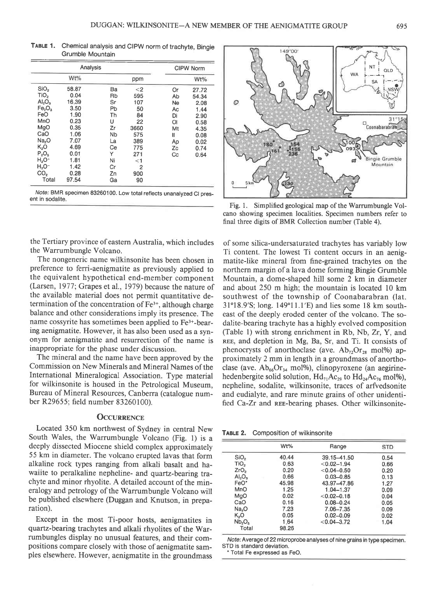| TABLE 1. Chemical analysis and CIPW norm of trachyte, Bingie |
|--------------------------------------------------------------|
| Grumble Mountain                                             |

|                                | Analysis | <b>CIPW Norm</b> |       |    |       |
|--------------------------------|----------|------------------|-------|----|-------|
|                                | Wt%      |                  | ppm   |    | Wt%   |
| SiO,                           | 58.87    | Ba               | $<$ 2 | Or | 27.72 |
| TiO <sub>2</sub>               | 0.04     | Rb               | 595   | Ab | 54.34 |
| AI <sub>2</sub> O <sub>3</sub> | 16.39    | Sr               | 107   | Ne | 2.08  |
| Fe <sub>2</sub> O <sub>3</sub> | 3.50     | Pb               | 50    | Ac | 1.44  |
| FeO                            | 1.90     | Th               | 84    | Di | 2.90  |
| MnO                            | 0.23     | U                | 22    | ΟI | 0.58  |
| MgO                            | 0.35     | Zr               | 3660  | Mt | 4.35  |
| CaO                            | 1.06     | Nb               | 575   | II | 0.08  |
| Na <sub>2</sub> O              | 7.07     | La               | 389   | Ap | 0.02  |
| K,O                            | 4.69     | Сe               | 775   | Ζc | 0.74  |
| $P_2O_5$                       | 0.01     | Υ                | 271   | Сc | 0.64  |
| $H2O+$                         | 1.81     | Ni               | $<$ 1 |    |       |
| $H2O-$                         | 1.42     | Cr               | 2     |    |       |
| CO.                            | 0.28     | Zn               | 900   |    |       |
| Total                          | 97.54    | Ga               | 90    |    |       |

Note: BMR specimen 83260100. Low total reflects unanalyzed CI present in sodalite.



Fig. 1. Simplified geological map of the Warrumbungle Volcano showing specimen localities. Specimen numbers refer to final three digits of BMR Collection number (Table 4).

the Tertiary province of eastern Australia, which includes the Warrumbungle Volcano.

The nongeneric name wilkinsonite has been chosen in preference to ferri-aenigmatite as previously applied to the equivalent hypothetical end-member component (Larsen, 1977; Grapes et al., 1979) because the nature of the available material does not permit quantitative determination of the concentration of Fe3\*, although charge balance and other considerations imply its presence. The name cossyrite has sometimes been applied to Fe3\*-bearing aenigmatite. However, it has also been used as a synonym for aenigmatite and resurrection of the name is inappropriate for the phase under discussion.

The mineral and the name have been approved by the Commission on New Minerals and Mineral Names of the International Mineralogical Association. Type material for wilkinsonite is housed in the Petrological Museum, Bureau of Mineral Resources, Canberra (catalogue number R29655; field number 83260100).

### **OCCURRENCE**

Located 350 km northwest of Sydney in central New South Wales, the Warrumbungle Volcano (Fig. l) is a deeply dissected Miocene shield complex approximately 55 km in diameter. The volcano erupted lavas that form alkaline rock types ranging from alkali basalt and hawaiite to peralkaline nepheline- and quartz-bearing trachyte and minor rhyolite. A detailed account of the mineralogy and petrology of the Warrumbungle Volcano will be published elsewhere (Duggan and Knutson, in preparation).

Except in the most Ti-poor hosts, aenigmatites in quartz-bearing trachytes and alkali rhyolites of the Warrumbungles display no unusual features, and their compositions compare closely with those of aenigmatite samples elsewhere. However, aenigmatite in the groundmass

of some silica-undersaturated trachytes has variably low Ti content. The lowest Ti content occurs in an aenigmatite-like mineral from fine-grained trachytes on the northern margin of a lava dome forming Bingie Grumble Mountain, a dome-shaped hill some 2 km in diameter and about 250 m high; the mountain is located l0 km southwest of the township of Coonabarabran (lat. 3l'18.9'S; long. 149"1 l.l'E) and lies some l8 km southeast of the deeply eroded center of the volcano. The sodalite-bearing trachyte has a highly evolved composition (Table l) with strong enrichment in Rb, Nb, Zr,Y, and REE, and depletion in Mg, Ba, Sr, and Ti. It consists of phenocrysts of anorthoclase (ave.  $Ab_{72}Or_{28}$  mol%) approximately 2 mm in length in a groundmass of anorthoclase (ave.  $Ab_{66}Or_{34}$  mol%), clinopyroxene (an aegirinehedenbergite solid solution,  $\text{Hd}_{71}\text{Ac}_{29}$  to  $\text{Hd}_{24}\text{Ac}_{76}$  mol%), nepheline, sodalite, wilkinsonite, traces of arfvedsonite and eudialyte, and rare minute grains of other unidentified Ca-Zr and REE-bearing phases. Other wilkinsonite-

TABLE 2. Composition of wilkinsonite

|                                | W <sub>t%</sub> | Range           | <b>STD</b> |
|--------------------------------|-----------------|-----------------|------------|
| SiO <sub>2</sub>               | 40.44           | 39.15-41.50     | 0.54       |
| TiO <sub>2</sub>               | 0.63            | $< 0.02 - 1.94$ | 0.66       |
| ZrO <sub>2</sub>               | 0.20            | $< 0.04 - 0.50$ | 0.20       |
| AI <sub>2</sub> O <sub>3</sub> | 0.66            | $0.03 - 0.85$   | 0.13       |
| FeO*                           | 45.98           | 43.97-47.86     | 1.27       |
| MnO                            | 1.25            | $1.04 - 1.37$   | 0.09       |
| MgO                            | 0.02            | $< 0.02 - 0.18$ | 0.04       |
| CaO                            | 0.16            | $0.08 - 0.24$   | 0.05       |
| Na,O                           | 7.23            | 7.06-7.35       | 0.09       |
| K,O                            | 0.05            | $0.02 - 0.09$   | 0.02       |
| Nb <sub>2</sub> O <sub>5</sub> | 1.64            | $< 0.04 - 3.72$ | 1.04       |
| Total                          | 98.26           |                 |            |

Nofe; Average of 22 microprobe analyses of nine grains in type specimen. STD is standard deviation.

. Total Fe expressed as FeO.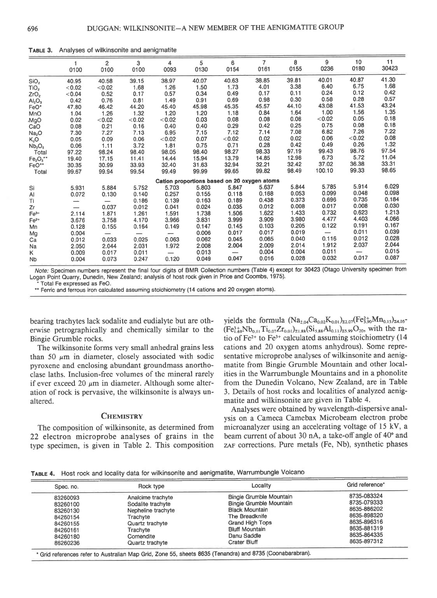|                                | 0100   | $\overline{2}$<br>0100   | 3<br>0100       | 4<br>0093                | 5<br>0130 | 6<br>0154                                   | $\overline{7}$<br>0161 | 8<br>0155 | 9<br>0236       | 10<br>0180 | 11<br>30423 |
|--------------------------------|--------|--------------------------|-----------------|--------------------------|-----------|---------------------------------------------|------------------------|-----------|-----------------|------------|-------------|
| SiO <sub>2</sub>               | 40.95  | 40.58                    | 39.15           | 38.97                    | 40.07     | 40.63                                       | 38.85                  | 39.81     | 40.01           | 40.87      | 41.30       |
| TiO <sub>2</sub>               | < 0.02 | < 0.02                   | 1.68            | 1.26                     | 1.50      | 1.73                                        | 4.01                   | 3.38      | 6.40            | 6.75       | 1.68        |
| ZrO <sub>2</sub>               | < 0.04 | 0.52                     | 0.17            | 0.57                     | 0.34      | 0.49                                        | 0.17                   | 0.11      | 0.24            | 0.12       | 0.42        |
| Al <sub>2</sub> O <sub>3</sub> | 0.42   | 0.76                     | 0.81            | 1.49                     | 0.91      | 0.69                                        | 0.98                   | 0.30      | 0.58            | 0.28       | 0.57        |
| FeO*                           | 47.80  | 46.42                    | 44.20           | 45.40                    | 45.98     | 45.35                                       | 45.57                  | 44.10     | 43.08           | 41.53      | 43.24       |
| MnO                            | 1.04   | 1.26                     | 1.32            | 1.20                     | 1.20      | 1.18                                        | 0.84                   | 1.64      | 1.00            | 1.56       | 1.35        |
| MgO                            | 0.02   | < 0.02                   | < 0.02          | < 0.02                   | 0.03      | 0.08                                        | 0.08                   | 0.08      | < 0.02          | 0.05       | 0.18        |
| CaO                            | 0.08   | 0.21                     | 0.16            | 0.40                     | 0.40      | 0.29                                        | 0.42                   | 0.25      | 0.75            | 0.08       | 0.18        |
| Na <sub>2</sub> O              | 7.30   | 7.27                     | 7.13            | 6.95                     | 7.15      | 7.12                                        | 7.14                   | 7.08      | 6.82            | 7.26       | 7.22        |
| K,O                            | 0.05   | 0.09                     | 0.06            | < 0.02                   | 0.07      | < 0.02                                      | 0.02                   | 0.02      | 0.06            | < 0.02     | 0.08        |
| Nb <sub>2</sub> O <sub>5</sub> | 0.06   | 1.11                     | 3.72            | 1.81                     | 0.75      | 0.71                                        | 0.28                   | 0.42      | 0.49            | 0.26       | 1.32        |
| Total                          | 97.22  | 98.24                    | 98.40           | 98.05                    | 98.40     | 98.27                                       | 98.33                  | 97.19     | 99.43           | 98.76      | 97.54       |
| $Fe2O3**$                      | 19.40  | 17.15                    | 11.41           | 14.44                    | 15.94     | 13.79                                       | 14.85                  | 12.98     | 6.73            | 5.72       | 11.04       |
| FeO**                          | 30.35  | 30.99                    | 33.93           | 32.40                    | 31.63     | 32.94                                       | 32.21                  | 32.42     | 37.02           | 36.38      | 33.31       |
| Total                          | 99.67  | 99.94                    | 99.54           | 99.49                    | 99.99     | 99.65                                       | 99.82                  | 98.49     | 100.10          | 99.33      | 98.65       |
|                                |        |                          |                 |                          |           | Cation proportions based on 20 oxygen atoms |                        |           |                 |            |             |
| Si                             | 5.931  | 5.884                    | 5.752           | 5.703                    | 5.803     | 5.847                                       | 5.637                  | 5.844     | 5.785           | 5.914      | 6.029       |
| Al                             | 0.072  | 0.130                    | 0.140           | 0.257                    | 0.155     | 0.118                                       | 0.168                  | 0.053     | 0.099           | 0.048      | 0.098       |
| Τì                             | —      | $\overline{\phantom{0}}$ | 0.186           | 0.139                    | 0.163     | 0.189                                       | 0.438                  | 0.373     | 0.696           | 0.735      | 0.184       |
| Żr                             |        | 0.037                    | 0.012           | 0.041                    | 0.024     | 0.035                                       | 0.012                  | 0.008     | 0.017           | 0.008      | 0.030       |
| $Fe3+$                         | 2.114  | 1.871                    | 1.261           | 1.591                    | 1.738     | 1.506                                       | 1.622                  | 1.433     | 0.732           | 0.623      | 1.213       |
| $Fe2+$                         | 3.676  | 3.758                    | 4.170           | 3.966                    | 3.831     | 3.999                                       | 3.909                  | 3.980     | 4.477           | 4.403      | 4.066       |
| Mn                             | 0.128  | 0.155                    | 0.164           | 0.149                    | 0.147     | 0.145                                       | 0.103                  | 0.205     | 0.122           | 0.191      | 0.167       |
| Mg                             | 0.004  | $\overline{\phantom{0}}$ | $\qquad \qquad$ | $\overline{\phantom{m}}$ | 0.006     | 0.017                                       | 0.017                  | 0.019     | $\qquad \qquad$ | 0.011      | 0.039       |
| Ca                             | 0.012  | 0.033                    | 0.025           | 0.063                    | 0.062     | 0.045                                       | 0.065                  | 0.040     | 0.116           | 0.012      | 0.028       |
| Na                             | 2.050  | 2.044                    | 2.031           | 1.972                    | 2.008     | 2.004                                       | 2.009                  | 2.014     | 1.912           | 2.037      | 2.044       |
| Κ                              | 0.009  | 0.017                    | 0.011           |                          | 0.013     | $\overline{\phantom{a}}$                    | 0.004                  | 0.004     | 0.011           |            | 0.015       |
| Nb                             | 0.004  | 0.073                    | 0.247           | 0.120                    | 0.049     | 0.047                                       | 0.016                  | 0.028     | 0.032           | 0.017      | 0.087       |

TABLE 3. Analyses of wilkinsonite and aenigmatite

Note: Specimen numbers represent the final four digits of BMR Collection numbers (Table 4) except for 30423 (Otago University specimen from Logan Point Quarry, Dunedin, New zealand; analysis of host rock given in Price and Coombs, 1975).

Total Fe expressed as FeO.

\*\* Ferric and ferrous iron calculated assuming stoichiometry (14 cations and 20 oxygen atoms).

bearing trachytes lack sodalite and eudialyte but are otherwise petrographically and chemically similar to the Bingie Grumble rocks.

The wilkinsonite forms very small anhedral grains less than 50  $\mu$ m in diameter, closely associated with sodic pyroxene and enclosing abundant groundmass anorthoclase laths. Inclusion-free volumes of the mineral rarely if ever exceed 20  $\mu$ m in diameter. Although some alteration of rock is pervasive, the wilkinsonite is always unaltered.

# **CHEMISTRY**

The composition of wilkinsonite, as determined from 22 electron microprobe analyses of grains in the type specimen, is given in Table 2. This composition

yields the formula  $(Na_{2.04}Ca_{0.02}K_{0.01})_{\Sigma2.07}$   $(Fe_{3.90}^{2+}Mn_{0.15})_{\Sigma4.05}$ - $(Fe_{1.69}^{3+}Nb_{0.11}Ti_{0.07}Zr_{0.01})_{\Sigma1.88}(Si_{5.88}Al_{0.11})_{\Sigma5.99}O_{20}$ , with the ratio of Fe2\* to Fe3\* calculated assuming stoichiometry (14 cations and 20 oxygen atoms anhydrous). Some representative microprobe analyses of wilkinsonite and aenigmatite from Bingie Grumble Mountain and other localities in the Warrumbungle Mountains and in a phonolite from the Dunedin Volcano, New Zealand, are in Table 3. Details of host rocks and localities of analyzed aenigmatite and wilkinsonite are given in Table 4.

Analyses were obtained by wavelength-dispersive analysis on a Cameca Camebax Microbeam electron probe microanalyzer using an accelerating voltage of 15 kV, a beam current of about 30 nA, a take-off angle of 40° and zar corrections. Pure metals (Fe, Nb), syrtthetic phases

TABLE 4. Host rock and locality data for wilkinsonite and aenigmatite, Warrumbungle Volcano

| Spec. no. | Rock type          | Locality                | Grid reference* |
|-----------|--------------------|-------------------------|-----------------|
| 83260093  | Analcime trachyte  | Bingie Grumble Mountain | 8735-083324     |
| 83260100  | Sodalite trachyte  | Bingie Grumble Mountain | 8735-079333     |
| 83260130  | Nepheline trachyte | <b>Black Mountain</b>   | 8635-886202     |
| 84260154  | Trachyte           | The Breadknife          | 8635-898320     |
| 84260155  | Quartz trachyte    | Grand High Tops         | 8635-896316     |
| 84260161  | Trachyte           | <b>Bluff Mountain</b>   | 8635-881319     |
| 84260180  | Comendite          | Danu Saddle             | 8635-864335     |
| 86260236  | Quartz trachyte    | Crater Bluff            | 8635-897312     |

. Grid references tefer to Australian Map Grid, Zone 55, sheets 8635 (Tenandra) and 8735 (Coonabarabran).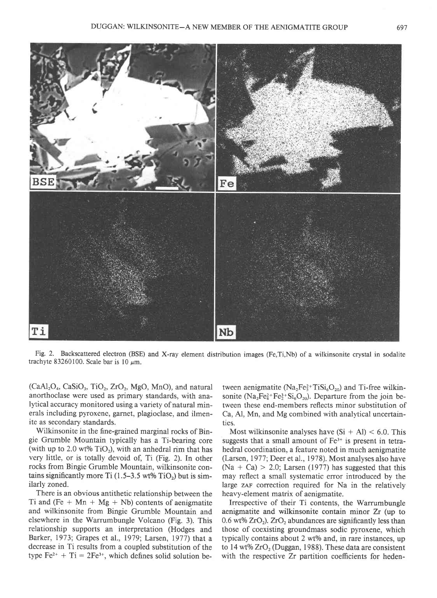

Fig. 2. Backscattered electron (BSE) and X-ray element distribution images (Fe,Ti,Nb) of a wilkinsonite crystal in sodalite trachyte 83260100. Scale bar is 10  $\mu$ m.

 $(CaAl<sub>2</sub>O<sub>4</sub>, CaSiO<sub>3</sub>, TiO<sub>2</sub>, ZrO<sub>2</sub>, MgO, MnO)$ , and natural anorthoclase were used as primary standards, with analytical accuracy monitored using a variety of natural minerals including pyroxene, garnet, plagioclase, and ilmenite as secondary standards.

Wilkinsonite in the fine-grained marginal rocks of Bingie Grumble Mountain typically has a Ti-bearing core (with up to 2.0 wt%  $TiO<sub>2</sub>$ ), with an anhedral rim that has very little, or is totally devoid of, Ti (Fig. 2). In other rocks from Bingie Grumble Mountain, wilkinsonite contains significantly more Ti  $(1.5-3.5 \text{ wt\% TiO}_2)$  but is similarly zoned.

There is an obvious antithetic relationship between the Ti and (Fe + Mn + Mg + Nb) contents of aenigmatite and wilkinsonite from Bingie Grumble Mountain and elsewhere in the Warrumbungle Volcano (Fig. 3). This relationship supports an interpretation (Hodges and Barker, 1973; Grapes et al., 1979; Larsen, 1977) that a decrease in Ti results from a coupled substitution of the type  $Fe^{2+} + Ti = 2Fe^{3+}$ , which defines solid solution be-

tween aenigmatite ( $Na<sub>2</sub>Fe<sub>5</sub><sup>2+</sup>TiSi<sub>6</sub>O<sub>20</sub>$ ) and Ti-free wilkinsonite ( $Na<sub>2</sub>Fe<sub>4</sub><sup>2+</sup>Fe<sub>2</sub><sup>3+</sup>Si<sub>6</sub>O<sub>20</sub>$ ). Departure from the join between these end-members reflects minor substitution of Ca, Al, Mn, and Mg combined with analytical uncertainties.

Most wilkinsonite analyses have  $(Si + Al) < 6.0$ . This suggests that a small amount of  $Fe<sup>3+</sup>$  is present in tetrahedral coordination, a feature noted in much aenigmatite (Larsen, 1977; Deer et al., 1978). Most analyses also have  $(Na + Ca) > 2.0$ ; Larsen (1977) has suggested that this may reflect a small systematic error introduced by the large zAF correction required for Na in the relatively heavy-element matrix of aenigmatite.

Irrespective of their Ti contents, the Warrumbungle aenigmatite and wilkinsonite contain minor Zr (up to 0.6 wt%  $ZrO<sub>2</sub>$ ).  $ZrO<sub>2</sub>$  abundances are significantly less than those of coexisting groundmass sodic pyroxene, which typically contains about 2 wt% and, in rare instances, up to 14 wt%  $ZrO<sub>2</sub>$  (Duggan, 1988). These data are consistent with the respective Zr partition coefficients for heden-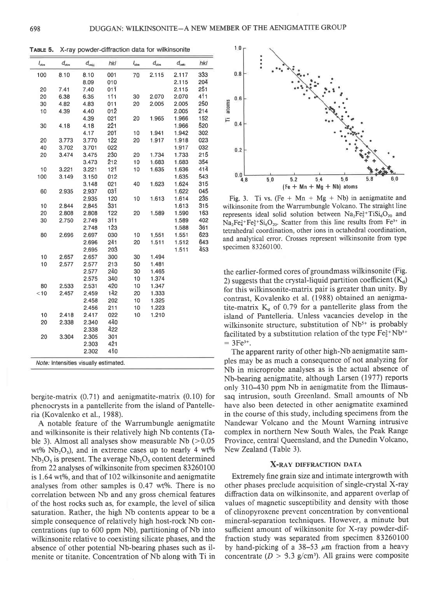TABLE 5. X-ray powder-diffraction data for wilkinsonite 1.0

| $I_{\rm obs}$ | $d_{\text{obs}}$                      | $d_{\text{calc}}$ | hkl             | $I_{obs}$ | $d_{\text{obs}}$ | $d_{\rm calc}$ | hkl         |
|---------------|---------------------------------------|-------------------|-----------------|-----------|------------------|----------------|-------------|
| 100           | 8.10                                  | 8.10              | 001             | 70        | 2.115            | 2.117          | 333         |
|               |                                       | 8.09              | 010             |           |                  | 2.115          | 204         |
| 20            | 7.41                                  | 7.40              | $01\bar{1}$     |           |                  | 2.115          | 251         |
| 20            | 6.38                                  | 6.35              | 111             | 30        | 2.070            | 2.070          | $4\bar{1}1$ |
| 30            | 4.82                                  | 4.83              | 011             | 20        | 2.005            | 2.005          | 250         |
| 10            | 4.39                                  | 4.40              | 012             |           |                  | 2.005          | 214         |
|               |                                       | 4.39              | 021             | 20        | 1.965            | 1.966          | 152         |
| 30            | 4.18                                  | 4.18              | 221             |           |                  | 1.966          | 520         |
|               |                                       | 4.17              | 20 <sup>†</sup> | 10        | 1.941            | 1.942          | 302         |
| 20            | 3.773                                 | 3.770             | 122             | 20        | 1.917            | 1.918          | 023         |
| 40            | 3.702                                 | 3.701             | 022             |           |                  | 1.917          | 032         |
| 20            | 3.474                                 | 3.475             | 230             | 20        | 1.734            | 1.733          | 215         |
|               |                                       | 3.473             | 212             | 10        | 1.683            | 1.683          | 354         |
| 10            | 3.221                                 | 3.221             | 12 <sup>1</sup> | 10        | 1.635            | 1.636          | $41\bar{4}$ |
| 100           | 3.149                                 | 3.150             | 012             |           |                  | 1.635          | 543         |
|               |                                       | 3.148             | 021             | 40        | 1.623            | 1.624          | 315         |
| 60            | 2.935                                 | 2.937             | 031             |           |                  | 1.622          | 045         |
|               |                                       | 2.935             | 120             | 10        | 1.613            | 1.614          | 235         |
| 10            | 2.844                                 | 2.845             | 331             |           |                  | 1.613          | $\bar{3}15$ |
| 20            | 2.808                                 | 2.808             | <b>122</b>      | 20        | 1.589            | 1.590          | 163         |
| 30            | 2.750                                 | 2.749             | $3\bar{1}1$     |           |                  | 1.589          | 402         |
|               |                                       | 2.748             | 123             |           |                  | 1.588          | 361         |
| 80            | 2.696                                 | 2.697             | 030             | 10        | 1.551            | 1.551          | 623         |
|               |                                       | 2.696             | 241             | 20        | 1.511            | 1.512          | 643         |
|               |                                       | 2.695             | 203             |           |                  | 1.511          | 453         |
| 10            | 2.657                                 | 2.657             | 300             | 30        | 1.494            |                |             |
| 10            | 2.577                                 | 2.577             | 213             | 50        | 1.481            |                |             |
|               |                                       | 2.577             | 240             | 30        | 1.465            |                |             |
|               |                                       | 2.575             | 340             | 10        | 1.374            |                |             |
| 80            | 2.533                                 | 2.531             | 420             | 10        | 1.347            |                |             |
| < 10          | 2.457                                 | 2.459             | 142             | 20        | 1.333            |                |             |
|               |                                       | 2.458             | 202             | 10        | 1.325            |                |             |
|               |                                       | 2.456             | 211             | 10        | 1.223            |                |             |
| 10            | 2.418                                 | 2.417             | 022             | 10        | 1.210            |                |             |
| 20            | 2.338                                 | 2.340             | 440             |           |                  |                |             |
|               |                                       | 2.338             | 422             |           |                  |                |             |
| 20            | 3.304                                 | 2.305             | 301             |           |                  |                |             |
|               |                                       | 2.303             | 42 <sub>1</sub> |           |                  |                |             |
|               |                                       | 2.302             | 410             |           |                  |                |             |
|               | Note: Intensities visually estimated. |                   |                 |           |                  |                |             |
|               |                                       |                   |                 |           |                  |                |             |

bergite-matrix (0.71) and aenigmatite-matrix (0.10) for phenocrysts in a pantellerite from the island of Pantelleria (Kovalenko et a1., 1988).

A notable feature of the Warrumbungle aenigmatite and wilkinsonite is their relatively high Nb contents (Table 3). Almost all analyses show measurable Nb  $(>0.05$ wt%  $Nb_2O_5$ , and in extreme cases up to nearly 4 wt%  $Nb<sub>2</sub>O<sub>s</sub>$  is present. The average  $Nb<sub>2</sub>O<sub>s</sub>$  content determined from22 analyses of wilkinsonite from specimen 83260100 is  $1.64$  wt%, and that of  $102$  wilkinsonite and aenigmatite analyses from other samples is  $0.47$  wt%. There is no correlation between Nb and any gross chemical features of the host rocks such as, for example, the level of silica saturation. Rather, the high Nb contents appear to be a simple consequence of relatively high host-rock Nb concentrations (up to 600 ppm Nb), partitioning of Nb into wilkinsonite relative to coexisting silicate phases, and the absence of other potential Nb-bearing phases such as ilmenite or titanite. Concentration of Nb along with Ti in



Fig. 3. Ti vs. (Fe + Mn + Mg + Nb) in aenigmatite and wilkinsonite from the Warrumbungle Volcano. The straight line represents ideal solid solution between  $Na<sub>2</sub>Fe<sub>5</sub><sup>2+</sup>TiSi<sub>6</sub>O<sub>20</sub>$  and  $Na<sub>2</sub>Fe<sub>4</sub><sup>2+</sup>Fe<sub>2</sub><sup>3+</sup>Si<sub>6</sub>O<sub>20</sub>. Scatter from this line results from Fe<sup>3+</sup> in$ tetrahedral coordination, other ions in octahedral coordination, and analytical error. Crosses represent wilkinsonite from type specimen 83260100.

the earlier-formed cores of groundmass wilkinsonite (Fig. 2) suggests that the crystal-liquid partition coefficient  $(K_d)$ for this wilkinsonite-matrix pair is greater than unity. By contrast, Kovalenko et al. (1988) obtained an aenigmatite-matrix  $K_d$  of 0.79 for a pantellerite glass from the island of Pantelleria. Unless vacancies develop in the wilkinsonite structure, substitution of  $Nb<sup>5+</sup>$  is probably facilitated by a substitution relation of the type  $Fe<sub>2</sub><sup>2+</sup>Nb<sub>5+</sub>$  $= 3Fe^{3+}.$ 

The apparent rarity of other high-Nb aenigmatite samples may be as much a consequence of not analyzing for Nb in microprobe analyses as is the actual absence of Nb-bearing aenigmatite, although Larsen (1977) reports only 310-430 ppm Nb in aenigmatite from the Ilimaussaq intrusion, south Greenland. Small amounts of Nb have also been detected in other aenigmatite examined in the course of this study, including specimens from the Nandewar Volcano and the Mount Warning intrusive complex in northern New South Wales, the Peak Range Province, central Queensland, and the Dunedin Volcano, New Zealand (Table 3).

#### X-RAY DIFFRACTION DATA

Extremely fine grain size and intimate intergrowth with other phases preclude acquisition of single-crystal X-ray difraction data on wilkinsonite, and apparent overlap of values of magnetic susceptibility and density with those of clinopyroxene prevent concentration by conventional mineral-separation techniques. However, a minute but sufficient amount of wilkinsonite for X-ray powder-diffraction study was separated from specimen 83260100 by hand-picking of a  $38-53 \mu m$  fraction from a heavy concentrate ( $D > 3.3$  g/cm<sup>3</sup>). All grains were composite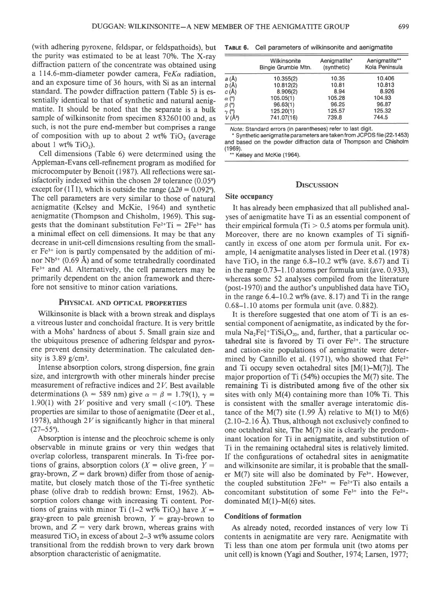(with adhering pyroxene, feldspar, or feldspathoids), but the purity was estimated to be at least 70%. The X-ray diffraction pattern of the concentrate was obtained using a 114.6-mm-diameter powder camera, Fe $K_{\alpha}$  radiation, and an exposure time of 36 hours, with Si as an internal standard. The powder diffraction pattern (Table 5) is essentially identical to that of synthetic and natural aenigmatite. It should be noted that the separate is a bulk sample of wilkinsonite from specimen 83260100 and, as such, is not the pure end-member but comprises a range of composition with up to about 2 wt% TiO, (average about 1 wt%  $TiO<sub>2</sub>$ ).

Cell dimensions (Table 6) were determined using the Appleman-Evans cell-refinement program as modified for microcomputer by Benoit (1987). All reflections were satisfactorily indexed within the chosen  $2\theta$  tolerance (0.05°) except for (111), which is outside the range ( $\Delta 2\theta = 0.092$ °). The cell parameters are very similar to those of natural aenigmatite (Kelsey and McKie, 1964) and synthetic aenigmatite (Thompson and Chisholm, 1969). This suggests that the dominant substitution  $Fe^{2+}Ti = 2Fe^{3+}$  has a minimal effect on cell dimensions. It may be that any decrease in unit-cell dimensions resulting from the smaller Fe3\* ion is partly compensated by the addition of minor  $Nb<sup>5+</sup>$  (0.69 Å) and of some tetrahedrally coordinated Fe3\* and Al. Alternatively, the cell parameters may be primarily dependent on the anion framework and therefore not sensitive to minor cation variations.

#### PHYSICAL AND OPTICAL PROPERTIES

Wilkinsonite is black with a brown streak and displays a vitreous luster and conchoidal fracture. It is very brittle with a Mohs' hardness of about 5. Small grain size and the ubiquitous presence of adhering feldspar and pyroxene prevent density determination. The calculated density is  $3.89$  g/cm<sup>3</sup>.

Intense absorption colors, strong dispersion, fine grain size, and intergrowth with other minerals hinder precise measurement of refractive indices and 2V. Best available determinations ( $\lambda = 589$  nm) give  $\alpha = \beta = 1.79(1), \gamma =$ 1.90(1) with 2V positive and very small (<10°). These properties are similar to those of aenigmatite (Deer et al., 1978), although  $2V$  is significantly higher in that mineral  $(27-55)$ °).

Absorption is intense and the pleochroic scheme is only observable in minute grains or very thin wedges that overlap colorless, transparent minerals. In Ti-free portions of grains, absorption colors ( $X =$  olive green,  $Y =$ gray-brown,  $Z =$  dark brown) differ from those of aenigmatite, but closely match those of the Ti-free synthetic phase (olive drab to reddish brown: Ernst, 1962). Absorption colors change with increasing Ti content. Portions of grains with minor Ti (1–2 wt% TiO<sub>2</sub>) have  $X =$ gray-green to pale greenish brown,  $Y =$  gray-brown to brown, and  $Z = \text{very dark brown}$ , whereas grains with measured  $TiO<sub>2</sub>$  in excess of about 2–3 wt% assume colors transitional from the reddish brown to very dark brown absorption characteristic of aenigmatite.

#### TABLE 6. Cell parameters of wilkinsonite and aenigmatite

|              | Wilkinsonite<br>Bingie Grumble Mtn. | Aenigmatite*<br>(synthetic) | Aenigmatite**<br>Kola Peninsula |
|--------------|-------------------------------------|-----------------------------|---------------------------------|
| a(A)         | 10.355(2)                           | 10.35                       | 10.406                          |
| b(A)         | 10.812(2)                           | 10.81                       | 10.813                          |
| $C(\AA)$     | 8.906(2)                            | 8.94                        | 8.926                           |
| $\alpha$ (°) | 105.05(1)                           | 105.28                      | 104.93                          |
| $\beta$ (°)  | 96.63(1)                            | 96.25                       | 96.87                           |
| $\gamma$ (°) | 125.20(1)                           | 125.57                      | 125.32                          |
| $V(A^3)$     | 741.07(16)                          | 739.8                       | 744.5                           |

Note: Standard errors (in parentheses) refer to last digit.

- Synthetic aenigmatite parameters are taken from JCPDS file (22-1453) and based on the powder diffraction data of Thompson and Chisholm (1969).<br>\*\* Kelsey and McKie (1964).

#### **D***ISCUSSION*

# Site occupancy

It has already been emphasized that all published analyses of aenigmatite have Ti as an essential component of their empirical formula (Ti  $> 0.5$  atoms per formula unit). Moreover, there are no known examples of Ti significantly in excess of one atom per formula unit. For example, 14 aenigmatite analyses listed in Deer et al. (1978) have TiO<sub>2</sub> in the range  $6.8-10.2$  wt $%$  (ave. 8.67) and Ti in the range 0.73-1.10 atoms per formula unit (ave. 0.933), whereas some 52 analyses compiled from the literature (post-1970) and the author's unpublished data have  $TiO<sub>2</sub>$ in the range  $6.4$ -10.2 wt% (ave. 8.17) and Ti in the range 0.68-1.10 atoms per formula unit (ave. 0.882).

It is therefore suggested that one atom of Ti is an essential component of aenigmatite, as indicated by the formula  $Na<sub>2</sub>Fe<sub>3</sub><sup>2</sup>+TiSi<sub>6</sub>O<sub>20</sub>$ , and, further, that a particular octahedral site is favored by Ti over  $Fe<sup>2+</sup>$ . The structure and cation-site populations of aenigmatite were determined by Cannillo et al.  $(1971)$ , who showed that  $Fe^{2+}$ and Ti occupy seven octahedral sites  $[M(1)-M(7)]$ . The major proportion of Ti  $(54%)$  occupies the M(7) site. The remaining Ti is distributed among five of the other six sites with only  $M(4)$  containing more than 10% Ti. This is consistent with the smaller average interatomic distance of the M(7) site (1.99 Å) relative to M(1) to M(6)  $(2.10-2.16 \text{ Å})$ . Thus, although not exclusively confined to one octahedral site, The M(7) site is clearly the predominant location for Ti in aenigmatite, and substitution of Ti in the remaining octahedral sites is relatively limited. If the configurations of octahedral sites in aenigmatite and wilkinsonite are similar, it is probable that the smaller  $M(7)$  site will also be dominated by Fe<sup>3+</sup>. However, the coupled substitution  $2Fe^{3+} = Fe^{2+}Ti$  also entails a concomitant substitution of some  $Fe<sup>3+</sup>$  into the  $Fe<sup>2+</sup>$ dominated  $M(1)$ – $M(6)$  sites.

#### Conditions of formation

As already noted, recorded instances of very low Ti contents in aenigmatite are very rare. Aenigmatite with Ti less than one atom per formula unit (two atoms per unit cell) is known (Yagi and Souther, 1974; Larsen, 1977;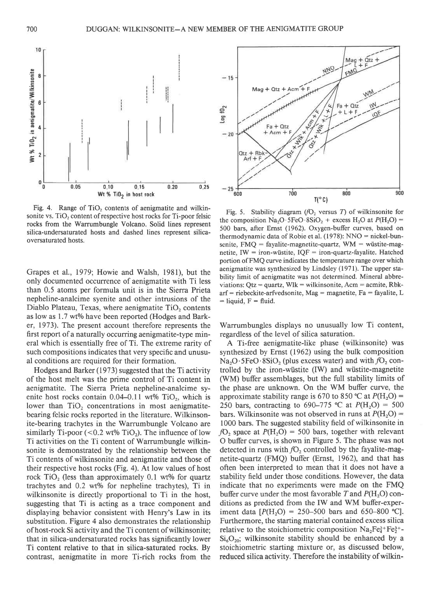Fig. 4. Range of TiO<sub>2</sub> contents of aenigmatite and wilkinsonite vs. TiO<sub>2</sub> content of respective host rocks for Ti-poor felsic rocks from the Warrumbungle Volcano. Solid lines represent silica-undersaturated hosts and dashed lines represent silicaoversaturated hosts.

Grapes et al., 1979; Howie and Walsh, l98l), but the only documented occurrence of aenigmatite with Ti less than 0.5 atoms per formula unit is in the Sierra Prieta nepheline-analcime syenite and other intrusions of the Diablo Plateau, Texas, where aenigmatite TiO<sub>2</sub> contents as low as 1.7 wt% have been reported (Hodges and Barker, 1973). The present account therefore represents the first report of a naturally occurring aenigmatite-type mineral which is essentially free of Ti. The extreme rarity of such compositions indicates that very specific and unusual conditions are required for their formation.

Hodges and Barker (1973) suggested that the Ti activity of the host melt was the prime control of Ti content in aenigmatite. The Sierra Prieta nepheline-analcime syenite host rocks contain  $0.04-0.11$  wt% TiO<sub>2</sub>, which is lower than TiO<sub>2</sub> concentrations in most aenigmatitebearing felsic rocks reported in the literature. Wilkinsonite-bearing trachytes in the Warrumbungle Volcano are similarly Ti-poor  $(<0.2 \text{ wt\% TiO}_2)$ . The influence of low Ti activities on the Ti content of Warrumbungle wilkinsonite is demonstrated by the relationship between the Ti contents of wilkinsonite and aenigmatite and those of their respective host rocks (Fig. 4). At low values of host rock  $TiO<sub>2</sub>$  (less than approximately 0.1 wt% for quartz trachytes and  $0.2$  wt% for nepheline trachytes), Ti in wilkinsonite is directly proportional to Ti in the host, suggesting that Ti is acting as a trace component and displaying behavior consistent with Henry's Law in its substitution. Figure 4 also demonstrates the relationship of host-rock Si activity and the Ti content of wilkinsonite; that in silica-undersaturated rocks has significantly lower Ti content relative to that in silica-saturated rocks. By contrast, aenigmatite in more Ti-rich rocks from the

 $Qtz + Rbk$  $Art + F$ 25 oo., 7oo  $T(°C)$ Fig. 5. Stability diagram ( $fO<sub>2</sub>$  versus T) of wilkinsonite for the composition  $Na<sub>2</sub>O·5FeO·8SiO<sub>2</sub> + excess H<sub>2</sub>O at  $P(H<sub>2</sub>O) =$$ 500 bars, after Ernst (1962). Oxygen-bufer curves, based on thermodynamic data of Robie et al. (1978): NNO = nickel-bunsenite,  $FMQ =$  fayalite-magnetite-quartz,  $WM =$  wüstite-magnetite, IW = iron-wüstite,  $IQF = iron-quartz-fayalite$ . Hatched portion of FMQ curve indicates the temperature range over which aenigmatite was synthesized by Lindsley (1971). The upper stability limit of aenigmatite was not determined. Mineral abbreviations:  $Qtz =$  quartz, Wlk = wilkinsonite, Acm = acmite, Rbk $arf = riebeckite-arfvedsonite, Mag = magnetic, Fa = fayalite, L$ 

Warrumbungles displays no unusually low Ti content, regardless of the level of silica saturation.

 $=$ liquid,  $F =$ fluid.

A Ti-free aenigmatite-like phase (wilkinsonite) was synthesized by Ernst (1962) using the bulk composition  $Na_2O·5FeO·8SiO_2$  (plus excess water) and with  $fO_2$  controlled by the iron-wüstite (IW) and wüstite-magnetite (WM) buffer assemblages, but the full stability limits of the phase are unknown. On the WM buffer curve, the approximate stability range is 670 to 850 °C at  $P(H_2O)$  = 250 bars, contracting to 690-775 °C at  $P(H_2O) = 500$ bars. Wilkinsonite was not observed in runs at  $P(H_2O)$  = 1000 bars. The suggested stability field of wilkinsonite in  $fO_2$  space at  $P(H_2O) = 500$  bars, together with relevant O buffer curves, is shown in Figure 5. The phase was not detected in runs with  $fO<sub>2</sub>$  controlled by the fayalite-magnetite-quartz (FMQ) buffer (Ernst, 1962), and that has often been interpreted to mean that it does not have a stability field under those conditions. However, the data indicate that no experiments were made on the FMQ buffer curve under the most favorable T and  $P(H_2O)$  conditions as predicted from the IW and WM buffer-experiment data  $[P(H_2O) = 250-500$  bars and 650-800 °C]. Furthermore, the starting material contained excess silica relative to the stoichiometric composition  $Na<sub>2</sub>Fe<sub>4</sub><sup>2+</sup>Fe<sub>2</sub><sup>3+</sup>$ - $Si<sub>6</sub>O<sub>20</sub>$ ; wilkinsonite stability should be enhanced by a stoichiometric starting mixture or, as discussed below, reduced silica activity. Therefore the instability of wilkin-